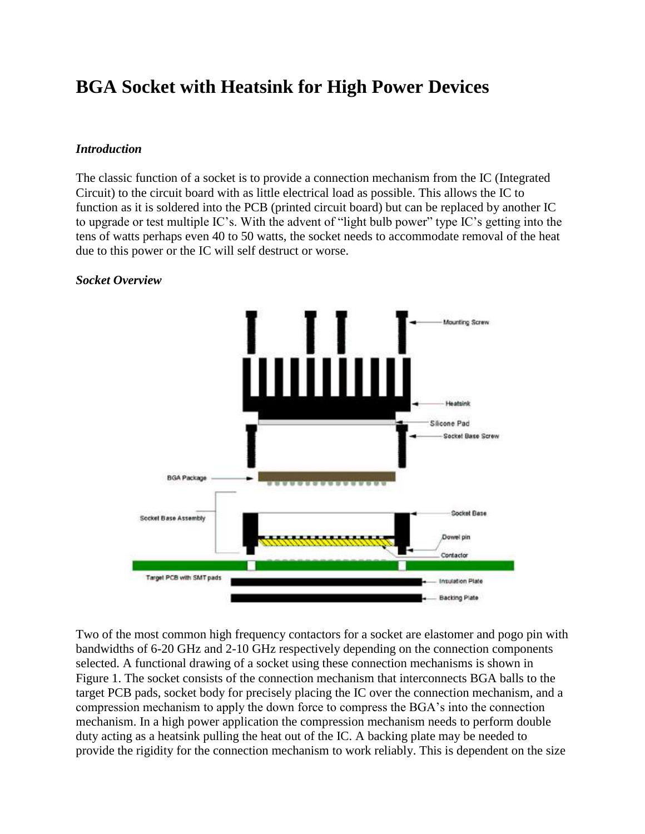# **BGA Socket with Heatsink for High Power Devices**

### *Introduction*

The classic function of a socket is to provide a connection mechanism from the IC (Integrated Circuit) to the circuit board with as little electrical load as possible. This allows the IC to function as it is soldered into the PCB (printed circuit board) but can be replaced by another IC to upgrade or test multiple IC's. With the advent of "light bulb power" type IC's getting into the tens of watts perhaps even 40 to 50 watts, the socket needs to accommodate removal of the heat due to this power or the IC will self destruct or worse.

# $\Box$ Mounting Screw <u>ùuinimi</u> Heatsink Silicone Pad Socket Base Screw **BGA Package** Socket Base Socket Base Assembly Dowel pin Contactor Target PCB with SMT pads **Insulation Plate Backing Plate**

#### *Socket Overview*

Two of the most common high frequency contactors for a socket are elastomer and pogo pin with bandwidths of 6-20 GHz and 2-10 GHz respectively depending on the connection components selected. A functional drawing of a socket using these connection mechanisms is shown in Figure 1. The socket consists of the connection mechanism that interconnects BGA balls to the target PCB pads, socket body for precisely placing the IC over the connection mechanism, and a compression mechanism to apply the down force to compress the BGA's into the connection mechanism. In a high power application the compression mechanism needs to perform double duty acting as a heatsink pulling the heat out of the IC. A backing plate may be needed to provide the rigidity for the connection mechanism to work reliably. This is dependent on the size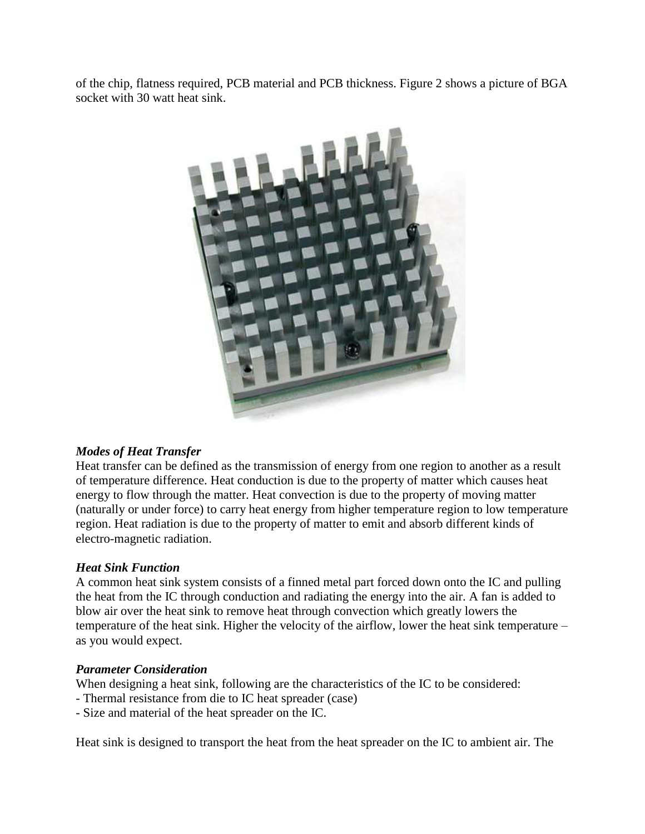of the chip, flatness required, PCB material and PCB thickness. Figure 2 shows a picture of BGA socket with 30 watt heat sink.



## *Modes of Heat Transfer*

Heat transfer can be defined as the transmission of energy from one region to another as a result of temperature difference. Heat conduction is due to the property of matter which causes heat energy to flow through the matter. Heat convection is due to the property of moving matter (naturally or under force) to carry heat energy from higher temperature region to low temperature region. Heat radiation is due to the property of matter to emit and absorb different kinds of electro-magnetic radiation.

#### *Heat Sink Function*

A common heat sink system consists of a finned metal part forced down onto the IC and pulling the heat from the IC through conduction and radiating the energy into the air. A fan is added to blow air over the heat sink to remove heat through convection which greatly lowers the temperature of the heat sink. Higher the velocity of the airflow, lower the heat sink temperature – as you would expect.

#### *Parameter Consideration*

When designing a heat sink, following are the characteristics of the IC to be considered:

- Thermal resistance from die to IC heat spreader (case)
- Size and material of the heat spreader on the IC.

Heat sink is designed to transport the heat from the heat spreader on the IC to ambient air. The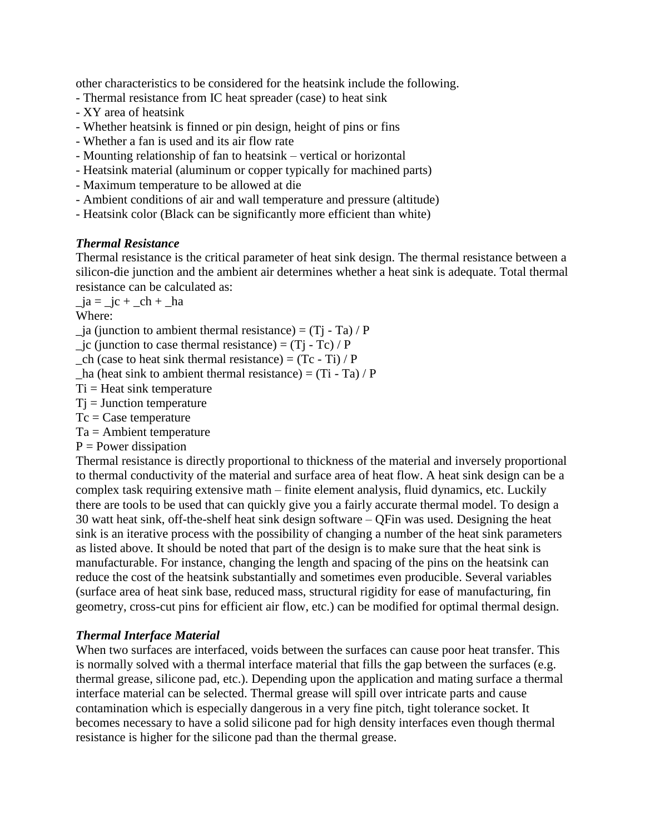other characteristics to be considered for the heatsink include the following.

- Thermal resistance from IC heat spreader (case) to heat sink
- XY area of heatsink
- Whether heatsink is finned or pin design, height of pins or fins
- Whether a fan is used and its air flow rate
- Mounting relationship of fan to heatsink vertical or horizontal
- Heatsink material (aluminum or copper typically for machined parts)
- Maximum temperature to be allowed at die
- Ambient conditions of air and wall temperature and pressure (altitude)
- Heatsink color (Black can be significantly more efficient than white)

## *Thermal Resistance*

Thermal resistance is the critical parameter of heat sink design. The thermal resistance between a silicon-die junction and the ambient air determines whether a heat sink is adequate. Total thermal resistance can be calculated as:

 $-ja = -jc + ch + ha$ 

Where:

 $ja$  (junction to ambient thermal resistance) = (T<sub>j</sub> - T<sub>a</sub>) / P

- $j$ c (junction to case thermal resistance) = (Tj Tc) / P
- $ch$  (case to heat sink thermal resistance) =  $(Tc Ti) / P$
- $_$ ha (heat sink to ambient thermal resistance) = (Ti Ta) / P
- $Ti = Heat sink temperature$
- $Tj =$  Junction temperature
- $Tc = Case temperature$
- $Ta =$  Ambient temperature
- $P = Power$  dissipation

Thermal resistance is directly proportional to thickness of the material and inversely proportional to thermal conductivity of the material and surface area of heat flow. A heat sink design can be a complex task requiring extensive math – finite element analysis, fluid dynamics, etc. Luckily there are tools to be used that can quickly give you a fairly accurate thermal model. To design a 30 watt heat sink, off-the-shelf heat sink design software – QFin was used. Designing the heat sink is an iterative process with the possibility of changing a number of the heat sink parameters as listed above. It should be noted that part of the design is to make sure that the heat sink is manufacturable. For instance, changing the length and spacing of the pins on the heatsink can reduce the cost of the heatsink substantially and sometimes even producible. Several variables (surface area of heat sink base, reduced mass, structural rigidity for ease of manufacturing, fin geometry, cross-cut pins for efficient air flow, etc.) can be modified for optimal thermal design.

#### *Thermal Interface Material*

When two surfaces are interfaced, voids between the surfaces can cause poor heat transfer. This is normally solved with a thermal interface material that fills the gap between the surfaces (e.g. thermal grease, silicone pad, etc.). Depending upon the application and mating surface a thermal interface material can be selected. Thermal grease will spill over intricate parts and cause contamination which is especially dangerous in a very fine pitch, tight tolerance socket. It becomes necessary to have a solid silicone pad for high density interfaces even though thermal resistance is higher for the silicone pad than the thermal grease.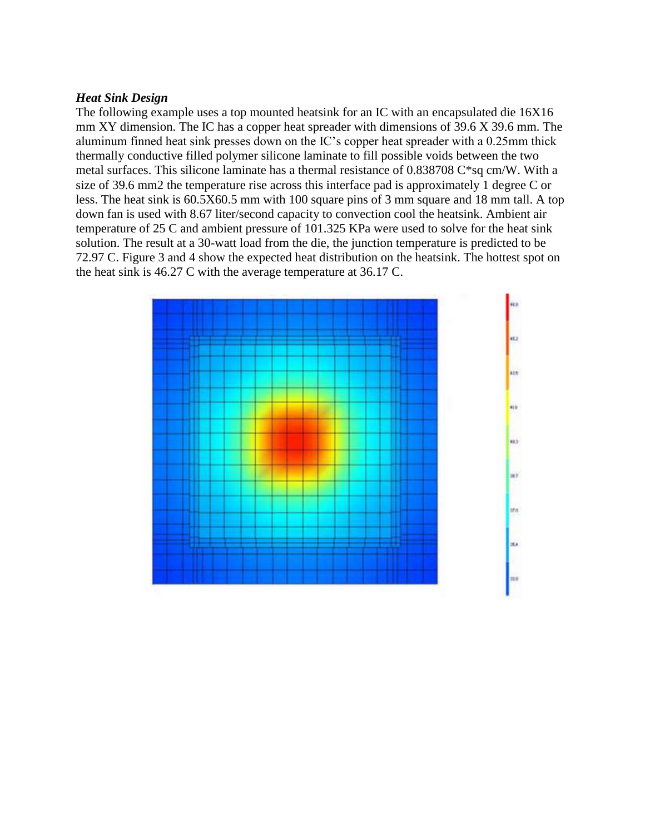#### *Heat Sink Design*

The following example uses a top mounted heatsink for an IC with an encapsulated die 16X16 mm XY dimension. The IC has a copper heat spreader with dimensions of 39.6 X 39.6 mm. The aluminum finned heat sink presses down on the IC's copper heat spreader with a 0.25mm thick thermally conductive filled polymer silicone laminate to fill possible voids between the two metal surfaces. This silicone laminate has a thermal resistance of 0.838708 C\*sq cm/W. With a size of 39.6 mm2 the temperature rise across this interface pad is approximately 1 degree C or less. The heat sink is 60.5X60.5 mm with 100 square pins of 3 mm square and 18 mm tall. A top down fan is used with 8.67 liter/second capacity to convection cool the heatsink. Ambient air temperature of 25 C and ambient pressure of 101.325 KPa were used to solve for the heat sink solution. The result at a 30-watt load from the die, the junction temperature is predicted to be 72.97 C. Figure 3 and 4 show the expected heat distribution on the heatsink. The hottest spot on the heat sink is 46.27 C with the average temperature at 36.17 C.